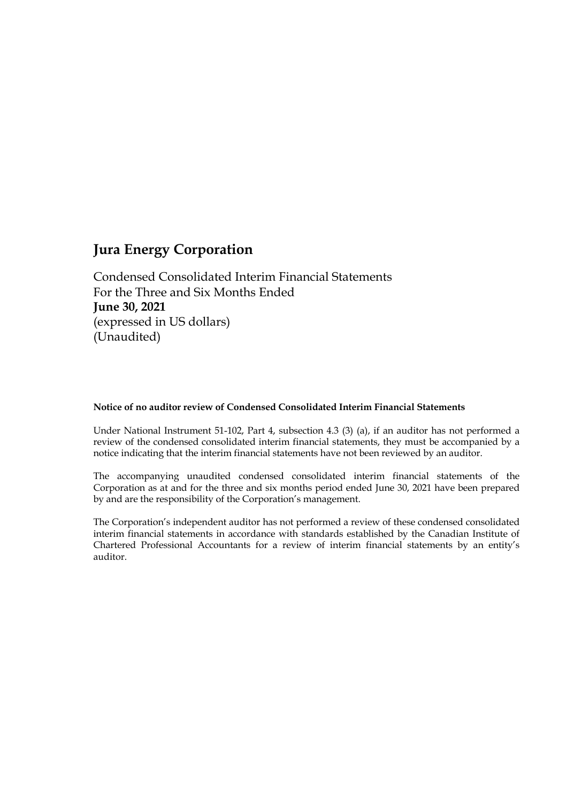Condensed Consolidated Interim Financial Statements For the Three and Six Months Ended **June 30, 2021** (expressed in US dollars) (Unaudited)

#### **Notice of no auditor review of Condensed Consolidated Interim Financial Statements**

Under National Instrument 51-102, Part 4, subsection 4.3 (3) (a), if an auditor has not performed a review of the condensed consolidated interim financial statements, they must be accompanied by a notice indicating that the interim financial statements have not been reviewed by an auditor.

The accompanying unaudited condensed consolidated interim financial statements of the Corporation as at and for the three and six months period ended June 30, 2021 have been prepared by and are the responsibility of the Corporation's management.

The Corporation's independent auditor has not performed a review of these condensed consolidated interim financial statements in accordance with standards established by the Canadian Institute of Chartered Professional Accountants for a review of interim financial statements by an entity's auditor.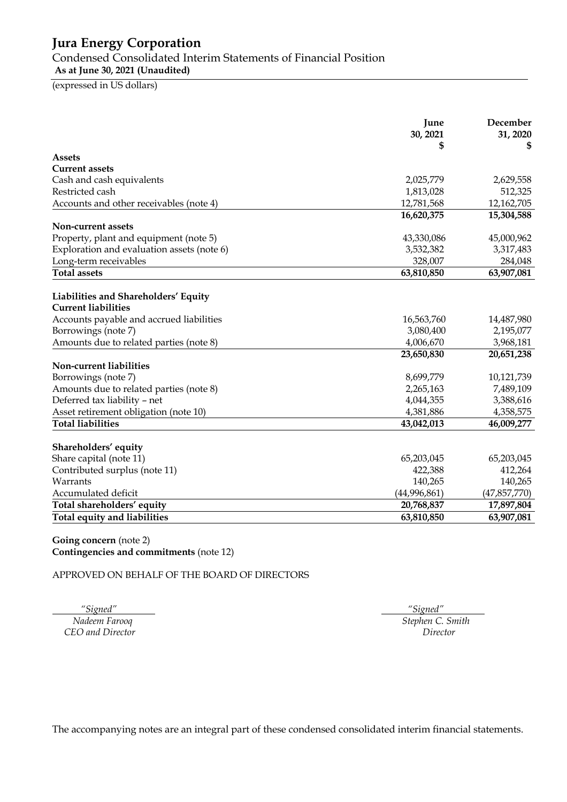Condensed Consolidated Interim Statements of Financial Position

**As at June 30, 2021 (Unaudited)**

(expressed in US dollars)

|                                                                    | June<br>30, 2021<br>\$ | December<br>31, 2020<br>S |
|--------------------------------------------------------------------|------------------------|---------------------------|
| <b>Assets</b>                                                      |                        |                           |
| <b>Current assets</b>                                              |                        |                           |
| Cash and cash equivalents                                          | 2,025,779              | 2,629,558                 |
| Restricted cash                                                    | 1,813,028              | 512,325                   |
| Accounts and other receivables (note 4)                            | 12,781,568             | 12,162,705                |
|                                                                    | 16,620,375             | 15,304,588                |
| Non-current assets                                                 |                        |                           |
| Property, plant and equipment (note 5)                             | 43,330,086             | 45,000,962                |
| Exploration and evaluation assets (note 6)                         | 3,532,382              | 3,317,483                 |
| Long-term receivables                                              | 328,007                | 284,048                   |
| <b>Total assets</b>                                                | 63,810,850             | 63,907,081                |
| Liabilities and Shareholders' Equity<br><b>Current liabilities</b> |                        |                           |
| Accounts payable and accrued liabilities                           | 16,563,760             | 14,487,980                |
| Borrowings (note 7)                                                | 3,080,400              | 2,195,077                 |
| Amounts due to related parties (note 8)                            | 4,006,670              | 3,968,181                 |
| Non-current liabilities                                            | 23,650,830             | 20,651,238                |
| Borrowings (note 7)                                                | 8,699,779              | 10,121,739                |
| Amounts due to related parties (note 8)                            | 2,265,163              | 7,489,109                 |
| Deferred tax liability - net                                       | 4,044,355              | 3,388,616                 |
| Asset retirement obligation (note 10)                              | 4,381,886              | 4,358,575                 |
| <b>Total liabilities</b>                                           | 43,042,013             | 46,009,277                |
| Shareholders' equity                                               |                        |                           |
| Share capital (note 11)                                            | 65,203,045             | 65,203,045                |
| Contributed surplus (note 11)                                      | 422,388                | 412,264                   |
| Warrants                                                           | 140,265                | 140,265                   |
| Accumulated deficit                                                | (44,996,861)           | (47,857,770)              |
| Total shareholders' equity                                         | 20,768,837             | 17,897,804                |
| Total equity and liabilities                                       | 63,810,850             | 63,907,081                |

#### **Going concern** (note 2) **Contingencies and commitments** (note 12)

APPROVED ON BEHALF OF THE BOARD OF DIRECTORS

*CEO and Director* 

 *"Signed" "Signed" Nadeem Farooq Stephen C. Smith*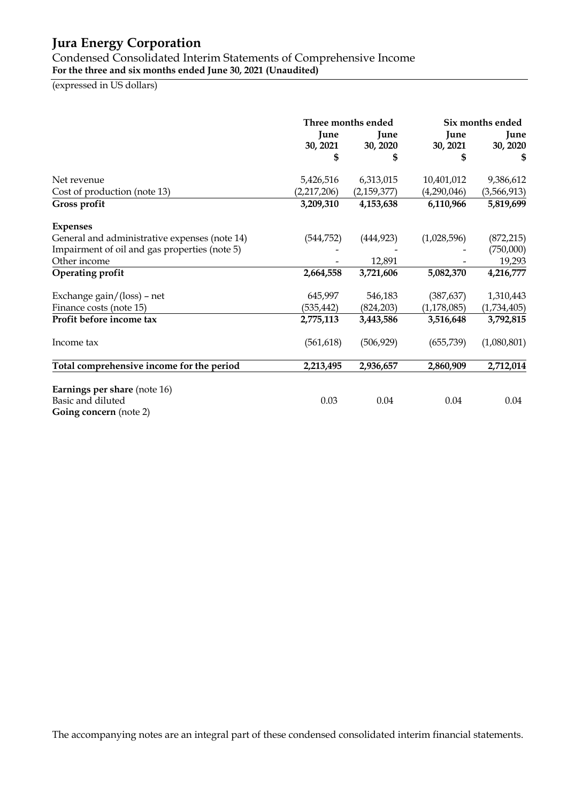Condensed Consolidated Interim Statements of Comprehensive Income **For the three and six months ended June 30, 2021 (Unaudited)**

(expressed in US dollars)

|                                                                                    |             | Three months ended | Six months ended |             |  |
|------------------------------------------------------------------------------------|-------------|--------------------|------------------|-------------|--|
|                                                                                    | June        | June               | June             | June        |  |
|                                                                                    | 30, 2021    | 30, 2020           | 30, 2021         | 30, 2020    |  |
|                                                                                    | \$          | \$                 | \$               | \$          |  |
| Net revenue                                                                        | 5,426,516   | 6,313,015          | 10,401,012       | 9,386,612   |  |
| Cost of production (note 13)                                                       | (2,217,206) | (2, 159, 377)      | (4,290,046)      | (3,566,913) |  |
| Gross profit                                                                       | 3,209,310   | 4,153,638          | 6,110,966        | 5,819,699   |  |
| <b>Expenses</b>                                                                    |             |                    |                  |             |  |
| General and administrative expenses (note 14)                                      | (544, 752)  | (444, 923)         | (1,028,596)      | (872, 215)  |  |
| Impairment of oil and gas properties (note 5)                                      |             |                    |                  | (750,000)   |  |
| Other income                                                                       |             | 12,891             |                  | 19,293      |  |
| Operating profit                                                                   | 2,664,558   | 3,721,606          | 5,082,370        | 4,216,777   |  |
| Exchange gain/(loss) - net                                                         | 645,997     | 546,183            | (387, 637)       | 1,310,443   |  |
| Finance costs (note 15)                                                            | (535, 442)  | (824, 203)         | (1, 178, 085)    | (1,734,405) |  |
| Profit before income tax                                                           | 2,775,113   | 3,443,586          | 3,516,648        | 3,792,815   |  |
| Income tax                                                                         | (561, 618)  | (506, 929)         | (655, 739)       | (1,080,801) |  |
| Total comprehensive income for the period                                          | 2,213,495   | 2,936,657          | 2,860,909        | 2,712,014   |  |
| Earnings per share (note 16)<br>Basic and diluted<br><b>Going concern</b> (note 2) | 0.03        | 0.04               | 0.04             | 0.04        |  |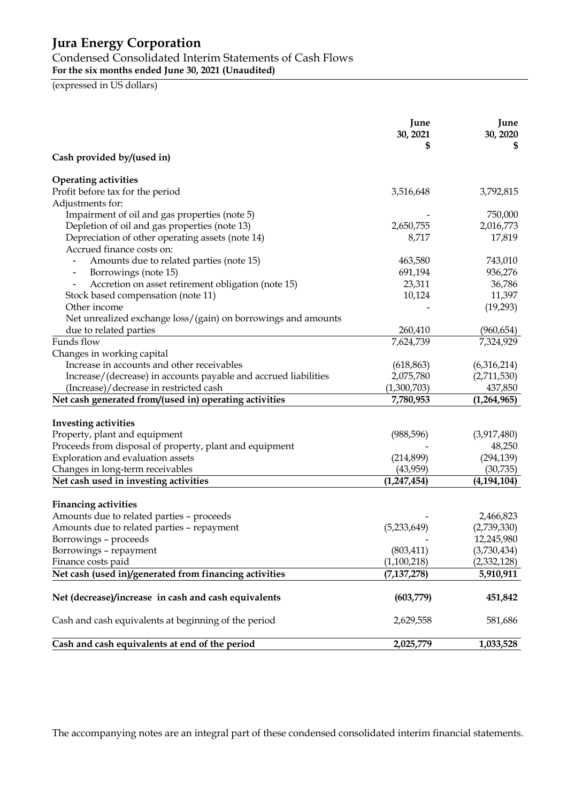# Condensed Consolidated Interim Statements of Cash Flows

**For the six months ended June 30, 2021 (Unaudited)**

(expressed in US dollars)

|                                                                 | June<br>30, 2021 | June<br>30, 2020 |
|-----------------------------------------------------------------|------------------|------------------|
| Cash provided by/(used in)                                      |                  |                  |
| <b>Operating activities</b>                                     |                  |                  |
| Profit before tax for the period                                | 3,516,648        | 3,792,815        |
| Adjustments for:                                                |                  |                  |
| Impairment of oil and gas properties (note 5)                   |                  | 750,000          |
| Depletion of oil and gas properties (note 13)                   | 2,650,755        | 2,016,773        |
| Depreciation of other operating assets (note 14)                | 8,717            | 17,819           |
| Accrued finance costs on:                                       |                  |                  |
| Amounts due to related parties (note 15)                        | 463,580          | 743,010          |
| Borrowings (note 15)<br>$\qquad \qquad \blacksquare$            | 691,194          | 936,276          |
| Accretion on asset retirement obligation (note 15)              | 23,311           | 36,786           |
| Stock based compensation (note 11)                              | 10,124           | 11,397           |
| Other income                                                    |                  | (19,293)         |
| Net unrealized exchange loss/(gain) on borrowings and amounts   |                  |                  |
| due to related parties                                          | 260,410          | (960, 654)       |
| Funds flow                                                      | 7,624,739        | 7,324,929        |
| Changes in working capital                                      |                  |                  |
| Increase in accounts and other receivables                      | (618, 863)       | (6,316,214)      |
| Increase/(decrease) in accounts payable and accrued liabilities | 2,075,780        | (2,711,530)      |
| (Increase)/decrease in restricted cash                          | (1,300,703)      | 437,850          |
| Net cash generated from/(used in) operating activities          | 7,780,953        | (1,264,965)      |
|                                                                 |                  |                  |
| <b>Investing activities</b>                                     |                  |                  |
| Property, plant and equipment                                   | (988, 596)       | (3,917,480)      |
| Proceeds from disposal of property, plant and equipment         |                  | 48,250           |
| Exploration and evaluation assets                               | (214,899)        | (294, 139)       |
| Changes in long-term receivables                                | (43,959)         | (30, 735)        |
| Net cash used in investing activities                           | (1, 247, 454)    | (4, 194, 104)    |
| <b>Financing activities</b>                                     |                  |                  |
| Amounts due to related parties - proceeds                       |                  | 2,466,823        |
| Amounts due to related parties - repayment                      | (5,233,649)      | (2,739,330)      |
| Borrowings - proceeds                                           |                  | 12,245,980       |
| Borrowings - repayment                                          | (803, 411)       | (3,730,434)      |
| Finance costs paid                                              | (1,100,218)      | (2,332,128)      |
| Net cash (used in)/generated from financing activities          | (7, 137, 278)    | 5,910,911        |
|                                                                 |                  |                  |
| Net (decrease)/increase in cash and cash equivalents            | (603,779)        | 451,842          |
| Cash and cash equivalents at beginning of the period            | 2,629,558        | 581,686          |
| Cash and cash equivalents at end of the period                  | 2,025,779        | 1,033,528        |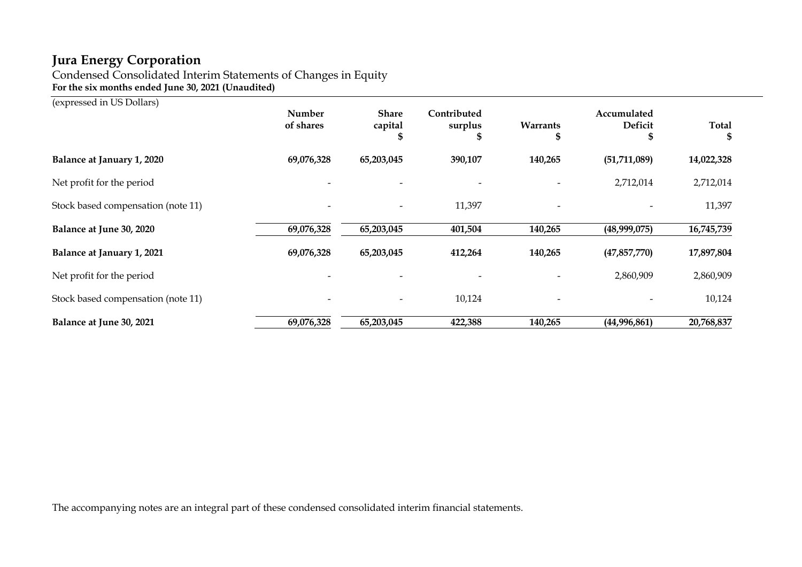Condensed Consolidated Interim Statements of Changes in Equity **For the six months ended June 30, 2021 (Unaudited)**

(expressed in US Dollars)

|                                    | Number<br>of shares | <b>Share</b><br>capital<br>.b | Contributed<br>surplus | Warrants<br>æ            | Accumulated<br><b>Deficit</b><br>æ | <b>Total</b><br>\$ |
|------------------------------------|---------------------|-------------------------------|------------------------|--------------------------|------------------------------------|--------------------|
| Balance at January 1, 2020         | 69,076,328          | 65,203,045                    | 390,107                | 140,265                  | (51, 711, 089)                     | 14,022,328         |
| Net profit for the period          |                     |                               |                        |                          | 2,712,014                          | 2,712,014          |
| Stock based compensation (note 11) |                     | $\overline{\phantom{a}}$      | 11,397                 | $\overline{\phantom{a}}$ |                                    | 11,397             |
| Balance at June 30, 2020           | 69,076,328          | 65,203,045                    | 401,504                | 140,265                  | (48,999,075)                       | 16,745,739         |
| Balance at January 1, 2021         | 69,076,328          | 65,203,045                    | 412,264                | 140,265                  | (47, 857, 770)                     | 17,897,804         |
| Net profit for the period          |                     |                               |                        |                          | 2,860,909                          | 2,860,909          |
| Stock based compensation (note 11) |                     | $\overline{\phantom{a}}$      | 10,124                 | $\overline{\phantom{a}}$ |                                    | 10,124             |
| Balance at June 30, 2021           | 69,076,328          | 65,203,045                    | 422,388                | 140,265                  | (44,996,861)                       | 20,768,837         |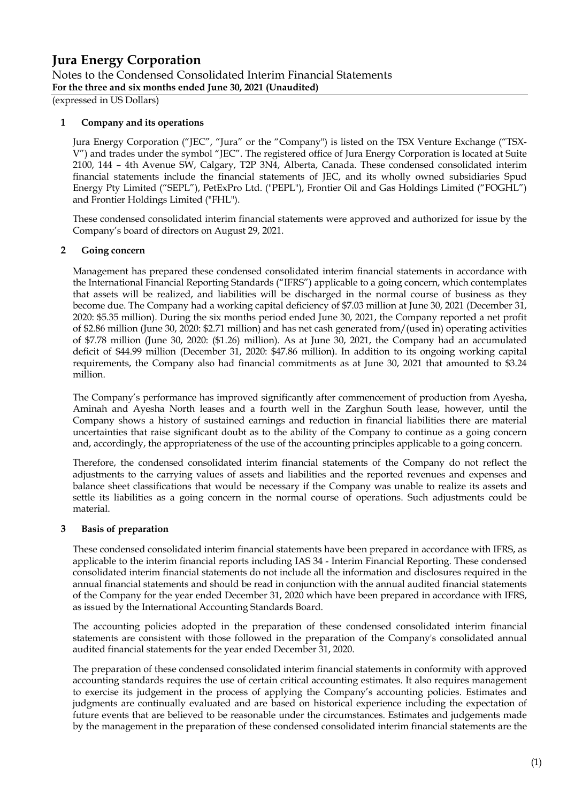(expressed in US Dollars)

### **1 Company and its operations**

Jura Energy Corporation ("JEC", "Jura" or the "Company") is listed on the TSX Venture Exchange ("TSX-V") and trades under the symbol "JEC". The registered office of Jura Energy Corporation is located at Suite 2100, 144 – 4th Avenue SW, Calgary, T2P 3N4, Alberta, Canada. These condensed consolidated interim financial statements include the financial statements of JEC, and its wholly owned subsidiaries Spud Energy Pty Limited ("SEPL"), PetExPro Ltd. ("PEPL"), Frontier Oil and Gas Holdings Limited ("FOGHL") and Frontier Holdings Limited ("FHL").

These condensed consolidated interim financial statements were approved and authorized for issue by the Company's board of directors on August 29, 2021.

### **2 Going concern**

Management has prepared these condensed consolidated interim financial statements in accordance with the International Financial Reporting Standards ("IFRS") applicable to a going concern, which contemplates that assets will be realized, and liabilities will be discharged in the normal course of business as they become due. The Company had a working capital deficiency of \$7.03 million at June 30, 2021 (December 31, 2020: \$5.35 million). During the six months period ended June 30, 2021, the Company reported a net profit of \$2.86 million (June 30, 2020: \$2.71 million) and has net cash generated from/(used in) operating activities of \$7.78 million (June 30, 2020: (\$1.26) million). As at June 30, 2021, the Company had an accumulated deficit of \$44.99 million (December 31, 2020: \$47.86 million). In addition to its ongoing working capital requirements, the Company also had financial commitments as at June 30, 2021 that amounted to \$3.24 million.

The Company's performance has improved significantly after commencement of production from Ayesha, Aminah and Ayesha North leases and a fourth well in the Zarghun South lease, however, until the Company shows a history of sustained earnings and reduction in financial liabilities there are material uncertainties that raise significant doubt as to the ability of the Company to continue as a going concern and, accordingly, the appropriateness of the use of the accounting principles applicable to a going concern.

Therefore, the condensed consolidated interim financial statements of the Company do not reflect the adjustments to the carrying values of assets and liabilities and the reported revenues and expenses and balance sheet classifications that would be necessary if the Company was unable to realize its assets and settle its liabilities as a going concern in the normal course of operations. Such adjustments could be material.

#### **3 Basis of preparation**

These condensed consolidated interim financial statements have been prepared in accordance with IFRS, as applicable to the interim financial reports including IAS 34 - Interim Financial Reporting. These condensed consolidated interim financial statements do not include all the information and disclosures required in the annual financial statements and should be read in conjunction with the annual audited financial statements of the Company for the year ended December 31, 2020 which have been prepared in accordance with IFRS, as issued by the International Accounting Standards Board.

The accounting policies adopted in the preparation of these condensed consolidated interim financial statements are consistent with those followed in the preparation of the Company's consolidated annual audited financial statements for the year ended December 31, 2020.

The preparation of these condensed consolidated interim financial statements in conformity with approved accounting standards requires the use of certain critical accounting estimates. It also requires management to exercise its judgement in the process of applying the Company's accounting policies. Estimates and judgments are continually evaluated and are based on historical experience including the expectation of future events that are believed to be reasonable under the circumstances. Estimates and judgements made by the management in the preparation of these condensed consolidated interim financial statements are the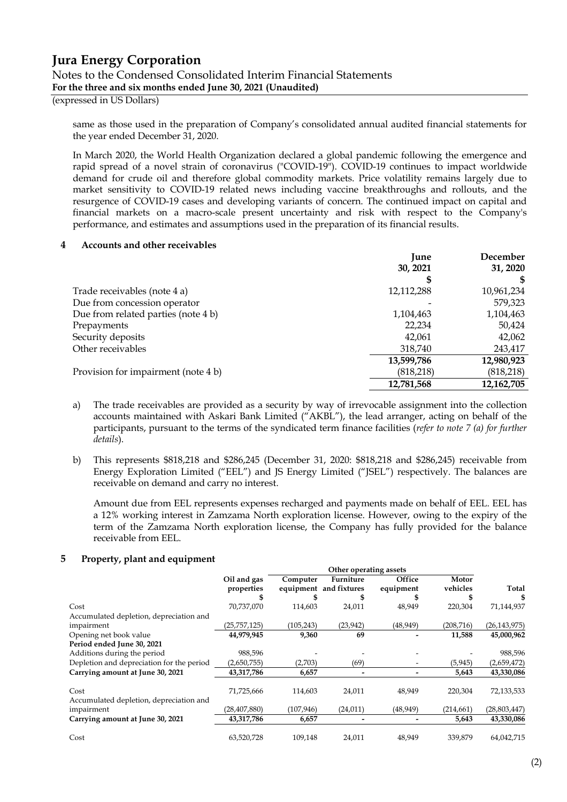#### (expressed in US Dollars)

same as those used in the preparation of Company's consolidated annual audited financial statements for the year ended December 31, 2020.

In March 2020, the World Health Organization declared a global pandemic following the emergence and rapid spread of a novel strain of coronavirus ("COVID-19"). COVID-19 continues to impact worldwide demand for crude oil and therefore global commodity markets. Price volatility remains largely due to market sensitivity to COVID-19 related news including vaccine breakthroughs and rollouts, and the resurgence of COVID-19 cases and developing variants of concern. The continued impact on capital and financial markets on a macro-scale present uncertainty and risk with respect to the Company's performance, and estimates and assumptions used in the preparation of its financial results.

#### **4 Accounts and other receivables**

|                                     | June       | December   |
|-------------------------------------|------------|------------|
|                                     | 30, 2021   | 31, 2020   |
|                                     | \$         |            |
| Trade receivables (note 4 a)        | 12,112,288 | 10,961,234 |
| Due from concession operator        |            | 579,323    |
| Due from related parties (note 4 b) | 1,104,463  | 1,104,463  |
| Prepayments                         | 22,234     | 50,424     |
| Security deposits                   | 42.061     | 42,062     |
| Other receivables                   | 318,740    | 243,417    |
|                                     | 13,599,786 | 12,980,923 |
| Provision for impairment (note 4 b) | (818, 218) | (818, 218) |
|                                     | 12,781,568 | 12,162,705 |

- a) The trade receivables are provided as a security by way of irrevocable assignment into the collection accounts maintained with Askari Bank Limited ("AKBL"), the lead arranger, acting on behalf of the participants, pursuant to the terms of the syndicated term finance facilities (*refer to note 7 (a) for further details*).
- b) This represents \$818,218 and \$286,245 (December 31, 2020: \$818,218 and \$286,245) receivable from Energy Exploration Limited ("EEL") and JS Energy Limited ("JSEL") respectively. The balances are receivable on demand and carry no interest.

Amount due from EEL represents expenses recharged and payments made on behalf of EEL. EEL has a 12% working interest in Zamzama North exploration license. However, owing to the expiry of the term of the Zamzama North exploration license, the Company has fully provided for the balance receivable from EEL.

#### **5 Property, plant and equipment**

|                                           | Other operating assets |            |                        |           |            |                |
|-------------------------------------------|------------------------|------------|------------------------|-----------|------------|----------------|
|                                           | Oil and gas            | Computer   | Furniture              | Office    | Motor      |                |
|                                           | properties             |            | equipment and fixtures | equipment | vehicles   | Total          |
|                                           |                        |            |                        |           |            | S              |
| Cost                                      | 70,737,070             | 114,603    | 24,011                 | 48,949    | 220,304    | 71,144,937     |
| Accumulated depletion, depreciation and   |                        |            |                        |           |            |                |
| impairment                                | (25, 757, 125)         | (105, 243) | (23, 942)              | (48, 949) | (208, 716) | (26, 143, 975) |
| Opening net book value                    | 44,979,945             | 9,360      | 69                     |           | 11,588     | 45,000,962     |
| Period ended June 30, 2021                |                        |            |                        |           |            |                |
| Additions during the period               | 988,596                |            |                        |           |            | 988,596        |
| Depletion and depreciation for the period | (2,650,755)            | (2,703)    | (69)                   |           | (5, 945)   | (2,659,472)    |
| Carrying amount at June 30, 2021          | 43,317,786             | 6,657      |                        |           | 5,643      | 43,330,086     |
| Cost                                      | 71,725,666             | 114,603    | 24,011                 | 48,949    | 220,304    | 72,133,533     |
| Accumulated depletion, depreciation and   |                        |            |                        |           |            |                |
| impairment                                | (28, 407, 880)         | (107, 946) | (24, 011)              | (48, 949) | (214, 661) | (28, 803, 447) |
| Carrying amount at June 30, 2021          | 43,317,786             | 6,657      |                        |           | 5,643      | 43,330,086     |
| Cost                                      | 63,520,728             | 109,148    | 24,011                 | 48,949    | 339.879    | 64,042,715     |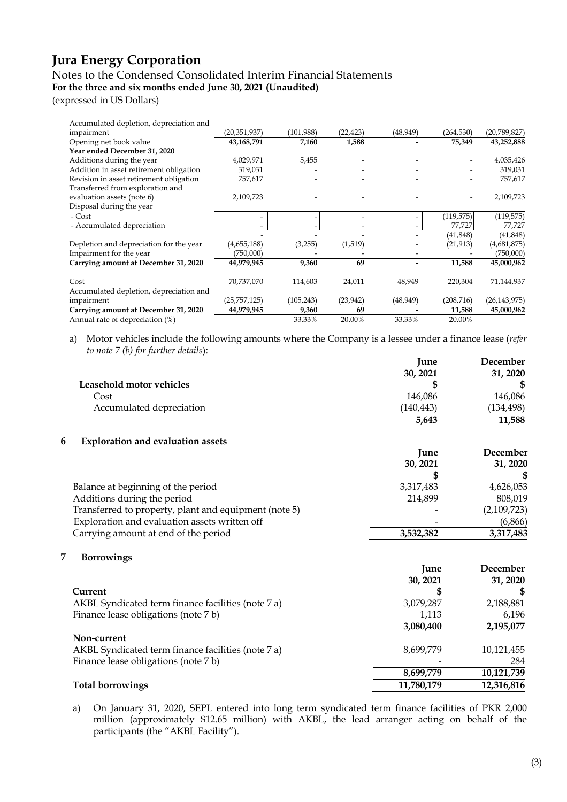### Notes to the Condensed Consolidated Interim Financial Statements **For the three and six months ended June 30, 2021 (Unaudited)**

#### (expressed in US Dollars)

| Accumulated depletion, depreciation and |                |            |           |           |            |                |
|-----------------------------------------|----------------|------------|-----------|-----------|------------|----------------|
| impairment                              | (20,351,937)   | (101,988)  | (22, 423) | (48, 949) | (264, 530) | (20, 789, 827) |
| Opening net book value                  | 43,168,791     | 7,160      | 1,588     |           | 75,349     | 43,252,888     |
| Year ended December 31, 2020            |                |            |           |           |            |                |
| Additions during the year               | 4,029,971      | 5,455      |           |           |            | 4,035,426      |
| Addition in asset retirement obligation | 319,031        |            |           |           |            | 319,031        |
| Revision in asset retirement obligation | 757,617        |            |           |           |            | 757,617        |
| Transferred from exploration and        |                |            |           |           |            |                |
| evaluation assets (note 6)              | 2,109,723      |            |           |           |            | 2,109,723      |
| Disposal during the year                |                |            |           |           |            |                |
| - Cost                                  |                |            |           |           | (119, 575) | (119, 575)     |
| - Accumulated depreciation              |                |            |           |           | 77,727     | 77,727         |
|                                         |                |            |           |           | (41, 848)  | (41, 848)      |
| Depletion and depreciation for the year | (4,655,188)    | (3,255)    | (1,519)   |           | (21, 913)  | (4,681,875)    |
| Impairment for the year                 | (750,000)      |            |           |           |            | (750,000)      |
| Carrying amount at December 31, 2020    | 44,979,945     | 9,360      | 69        |           | 11,588     | 45,000,962     |
|                                         |                |            |           |           |            |                |
| Cost                                    | 70,737,070     | 114,603    | 24,011    | 48,949    | 220,304    | 71,144,937     |
| Accumulated depletion, depreciation and |                |            |           |           |            |                |
| impairment                              | (25, 757, 125) | (105, 243) | (23, 942) | (48, 949) | (208, 716) | (26, 143, 975) |
| Carrying amount at December 31, 2020    | 44,979,945     | 9,360      | 69        |           | 11,588     | 45,000,962     |
| Annual rate of depreciation (%)         |                | 33.33%     | 20.00%    | 33.33%    | 20.00%     |                |

a) Motor vehicles include the following amounts where the Company is a lessee under a finance lease (*refer to note 7 (b) for further details*):

|                                                       | June       | December    |
|-------------------------------------------------------|------------|-------------|
|                                                       | 30, 2021   | 31, 2020    |
| Leasehold motor vehicles                              |            |             |
| Cost                                                  | 146,086    | 146,086     |
| Accumulated depreciation                              | (140, 443) | (134, 498)  |
|                                                       | 5,643      | 11,588      |
| 6<br><b>Exploration and evaluation assets</b>         |            |             |
|                                                       | June       | December    |
|                                                       | 30, 2021   | 31, 2020    |
|                                                       |            | \$          |
| Balance at beginning of the period                    | 3,317,483  | 4,626,053   |
| Additions during the period                           | 214,899    | 808,019     |
| Transferred to property, plant and equipment (note 5) |            | (2,109,723) |
| Exploration and evaluation assets written off         |            | (6,866)     |
| Carrying amount at end of the period                  | 3,532,382  | 3,317,483   |
| 7<br><b>Borrowings</b>                                |            |             |
|                                                       | June       | December    |
|                                                       | 30, 2021   | 31, 2020    |
| Current                                               |            |             |
| AKBL Syndicated term finance facilities (note 7 a)    | 3,079,287  | 2,188,881   |
| Finance lease obligations (note 7 b)                  | 1,113      | 6,196       |
|                                                       | 3,080,400  | 2,195,077   |
| Non-current                                           |            |             |
| AKBL Syndicated term finance facilities (note 7 a)    | 8,699,779  | 10,121,455  |
| Finance lease obligations (note 7 b)                  |            | 284         |
|                                                       | 8,699,779  | 10,121,739  |
| <b>Total borrowings</b>                               | 11,780,179 | 12,316,816  |

a) On January 31, 2020, SEPL entered into long term syndicated term finance facilities of PKR 2,000 million (approximately \$12.65 million) with AKBL, the lead arranger acting on behalf of the participants (the "AKBL Facility").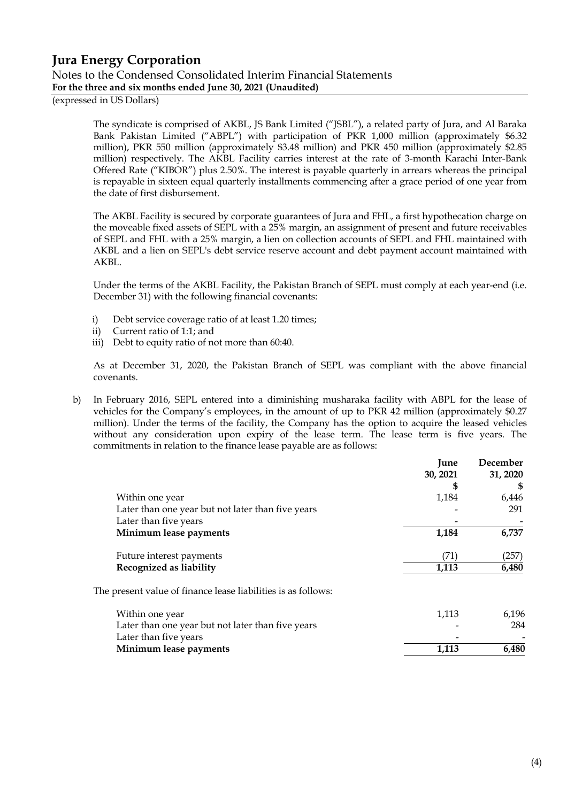(expressed in US Dollars)

The syndicate is comprised of AKBL, JS Bank Limited ("JSBL"), a related party of Jura, and Al Baraka Bank Pakistan Limited ("ABPL") with participation of PKR 1,000 million (approximately \$6.32 million), PKR 550 million (approximately \$3.48 million) and PKR 450 million (approximately \$2.85 million) respectively. The AKBL Facility carries interest at the rate of 3-month Karachi Inter-Bank Offered Rate ("KIBOR") plus 2.50%. The interest is payable quarterly in arrears whereas the principal is repayable in sixteen equal quarterly installments commencing after a grace period of one year from the date of first disbursement.

The AKBL Facility is secured by corporate guarantees of Jura and FHL, a first hypothecation charge on the moveable fixed assets of SEPL with a 25% margin, an assignment of present and future receivables of SEPL and FHL with a 25% margin, a lien on collection accounts of SEPL and FHL maintained with AKBL and a lien on SEPL's debt service reserve account and debt payment account maintained with AKBL.

Under the terms of the AKBL Facility, the Pakistan Branch of SEPL must comply at each year-end (i.e. December 31) with the following financial covenants:

- i) Debt service coverage ratio of at least 1.20 times;
- ii) Current ratio of 1:1; and
- iii) Debt to equity ratio of not more than 60:40.

As at December 31, 2020, the Pakistan Branch of SEPL was compliant with the above financial covenants.

b) In February 2016, SEPL entered into a diminishing musharaka facility with ABPL for the lease of vehicles for the Company's employees, in the amount of up to PKR 42 million (approximately \$0.27 million). Under the terms of the facility, the Company has the option to acquire the leased vehicles without any consideration upon expiry of the lease term. The lease term is five years. The commitments in relation to the finance lease payable are as follows:

|                                                               | June     | December |
|---------------------------------------------------------------|----------|----------|
|                                                               | 30, 2021 | 31, 2020 |
|                                                               | \$       |          |
| Within one year                                               | 1,184    | 6,446    |
| Later than one year but not later than five years             |          | 291      |
| Later than five years                                         |          |          |
| Minimum lease payments                                        | 1,184    | 6,737    |
| Future interest payments                                      | (71)     | (257)    |
| Recognized as liability                                       | 1,113    | 6,480    |
| The present value of finance lease liabilities is as follows: |          |          |
| Within one year                                               | 1,113    | 6,196    |
| Later than one year but not later than five years             |          | 284      |
| Later than five years                                         |          |          |
| Minimum lease payments                                        | 1,113    | 6,480    |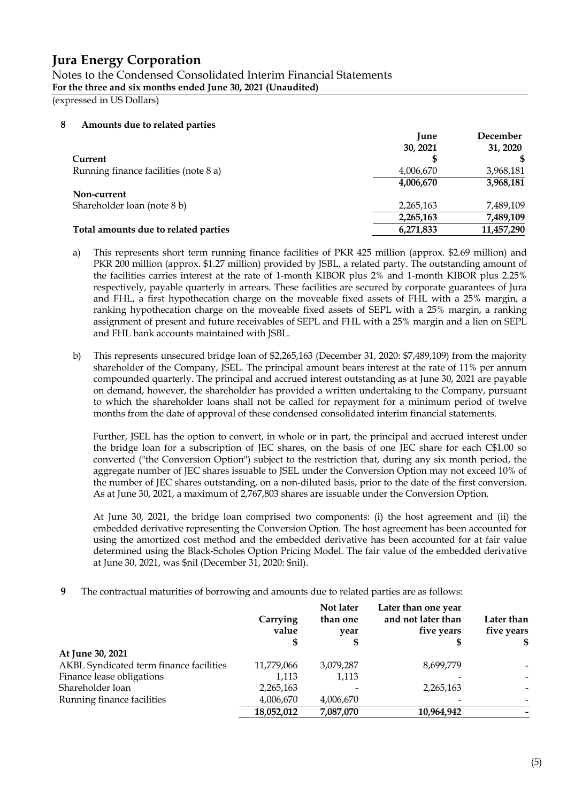### Notes to the Condensed Consolidated Interim Financial Statements **For the three and six months ended June 30, 2021 (Unaudited)**

(expressed in US Dollars)

#### **8 Amounts due to related parties**

|                                       | <b>June</b> | December   |
|---------------------------------------|-------------|------------|
|                                       | 30, 2021    | 31, 2020   |
| Current                               |             |            |
| Running finance facilities (note 8 a) | 4,006,670   | 3,968,181  |
|                                       | 4,006,670   | 3,968,181  |
| Non-current                           |             |            |
| Shareholder loan (note 8 b)           | 2,265,163   | 7,489,109  |
|                                       | 2,265,163   | 7,489,109  |
| Total amounts due to related parties  | 6,271,833   | 11,457,290 |

- a) This represents short term running finance facilities of PKR 425 million (approx. \$2.69 million) and PKR 200 million (approx. \$1.27 million) provided by JSBL, a related party. The outstanding amount of the facilities carries interest at the rate of 1-month KIBOR plus 2% and 1-month KIBOR plus 2.25% respectively, payable quarterly in arrears. These facilities are secured by corporate guarantees of Jura and FHL, a first hypothecation charge on the moveable fixed assets of FHL with a 25% margin, a ranking hypothecation charge on the moveable fixed assets of SEPL with a 25% margin, a ranking assignment of present and future receivables of SEPL and FHL with a 25% margin and a lien on SEPL and FHL bank accounts maintained with JSBL.
- b) This represents unsecured bridge loan of \$2,265,163 (December 31, 2020: \$7,489,109) from the majority shareholder of the Company, JSEL. The principal amount bears interest at the rate of 11% per annum compounded quarterly. The principal and accrued interest outstanding as at June 30, 2021 are payable on demand, however, the shareholder has provided a written undertaking to the Company, pursuant to which the shareholder loans shall not be called for repayment for a minimum period of twelve months from the date of approval of these condensed consolidated interim financial statements.

Further, JSEL has the option to convert, in whole or in part, the principal and accrued interest under the bridge loan for a subscription of JEC shares, on the basis of one JEC share for each C\$1.00 so converted ("the Conversion Option") subject to the restriction that, during any six month period, the aggregate number of JEC shares issuable to JSEL under the Conversion Option may not exceed 10% of the number of JEC shares outstanding, on a non-diluted basis, prior to the date of the first conversion. As at June 30, 2021, a maximum of 2,767,803 shares are issuable under the Conversion Option.

At June 30, 2021, the bridge loan comprised two components: (i) the host agreement and (ii) the embedded derivative representing the Conversion Option. The host agreement has been accounted for using the amortized cost method and the embedded derivative has been accounted for at fair value determined using the Black-Scholes Option Pricing Model. The fair value of the embedded derivative at June 30, 2021, was \$nil (December 31, 2020: \$nil).

**9** The contractual maturities of borrowing and amounts due to related parties are as follows:

|                                         | Carrying<br>value | Not later<br>than one<br>year | Later than one year<br>and not later than<br>five years | Later than<br>five years<br>\$ |
|-----------------------------------------|-------------------|-------------------------------|---------------------------------------------------------|--------------------------------|
|                                         |                   |                               |                                                         |                                |
| At June 30, 2021                        |                   |                               |                                                         |                                |
| AKBL Syndicated term finance facilities | 11,779,066        | 3,079,287                     | 8,699,779                                               |                                |
| Finance lease obligations               | 1,113             | 1,113                         |                                                         |                                |
| Shareholder loan                        | 2,265,163         |                               | 2,265,163                                               |                                |
| Running finance facilities              | 4,006,670         | 4,006,670                     |                                                         |                                |
|                                         | 18,052,012        | 7,087,070                     | 10,964,942                                              |                                |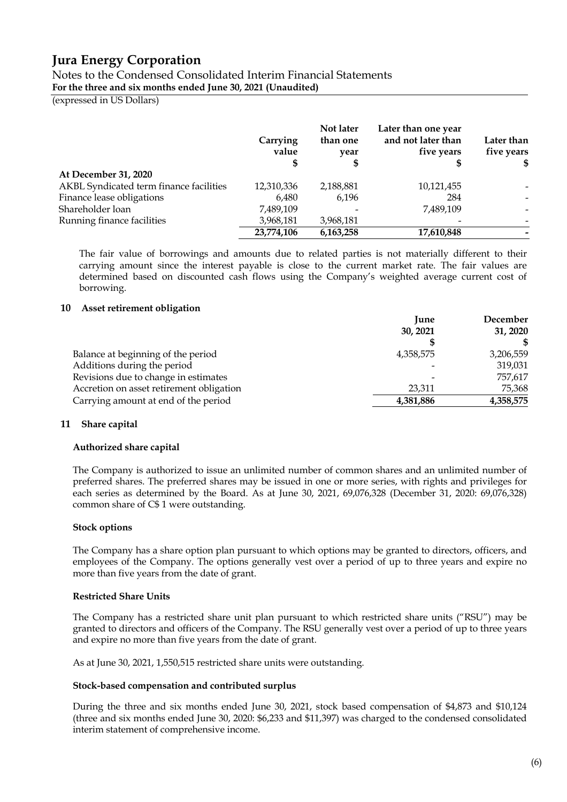Notes to the Condensed Consolidated Interim Financial Statements **For the three and six months ended June 30, 2021 (Unaudited)**

(expressed in US Dollars)

|                                         | Carrying<br>value | Not later<br>than one<br>year | Later than one year<br>and not later than<br>five years | Later than<br>five years<br>SS. |
|-----------------------------------------|-------------------|-------------------------------|---------------------------------------------------------|---------------------------------|
| At December 31, 2020                    |                   |                               |                                                         |                                 |
| AKBL Syndicated term finance facilities | 12,310,336        | 2,188,881                     | 10,121,455                                              |                                 |
| Finance lease obligations               | 6,480             | 6,196                         | 284                                                     | $\overline{\phantom{0}}$        |
| Shareholder loan                        | 7,489,109         |                               | 7,489,109                                               |                                 |
| Running finance facilities              | 3,968,181         | 3,968,181                     |                                                         |                                 |
|                                         | 23,774,106        | 6,163,258                     | 17,610,848                                              | -                               |

The fair value of borrowings and amounts due to related parties is not materially different to their carrying amount since the interest payable is close to the current market rate. The fair values are determined based on discounted cash flows using the Company's weighted average current cost of borrowing.

#### **10 Asset retirement obligation**

|                                          | <b>June</b> | December  |
|------------------------------------------|-------------|-----------|
|                                          | 30, 2021    | 31, 2020  |
|                                          |             | \$        |
| Balance at beginning of the period       | 4,358,575   | 3,206,559 |
| Additions during the period              |             | 319,031   |
| Revisions due to change in estimates     |             | 757,617   |
| Accretion on asset retirement obligation | 23,311      | 75,368    |
| Carrying amount at end of the period     | 4,381,886   | 4,358,575 |

#### **11 Share capital**

#### **Authorized share capital**

The Company is authorized to issue an unlimited number of common shares and an unlimited number of preferred shares. The preferred shares may be issued in one or more series, with rights and privileges for each series as determined by the Board. As at June 30, 2021, 69,076,328 (December 31, 2020: 69,076,328) common share of C\$ 1 were outstanding.

#### **Stock options**

The Company has a share option plan pursuant to which options may be granted to directors, officers, and employees of the Company. The options generally vest over a period of up to three years and expire no more than five years from the date of grant.

#### **Restricted Share Units**

The Company has a restricted share unit plan pursuant to which restricted share units ("RSU") may be granted to directors and officers of the Company. The RSU generally vest over a period of up to three years and expire no more than five years from the date of grant.

As at June 30, 2021, 1,550,515 restricted share units were outstanding.

#### **Stock-based compensation and contributed surplus**

During the three and six months ended June 30, 2021, stock based compensation of \$4,873 and \$10,124 (three and six months ended June 30, 2020: \$6,233 and \$11,397) was charged to the condensed consolidated interim statement of comprehensive income.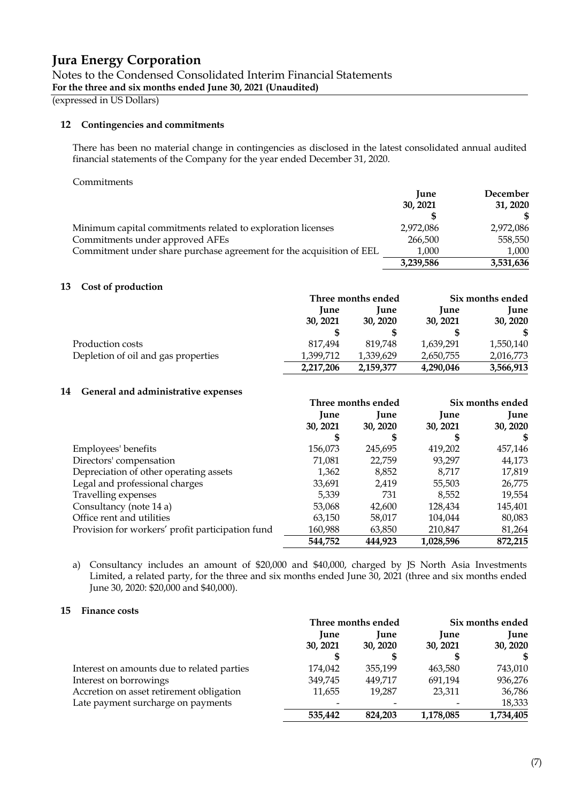(expressed in US Dollars)

#### **12 Contingencies and commitments**

There has been no material change in contingencies as disclosed in the latest consolidated annual audited financial statements of the Company for the year ended December 31, 2020.

#### Commitments

|                                                                      | <b>June</b> | December  |
|----------------------------------------------------------------------|-------------|-----------|
|                                                                      | 30, 2021    | 31, 2020  |
|                                                                      |             |           |
| Minimum capital commitments related to exploration licenses          | 2,972,086   | 2,972,086 |
| Commitments under approved AFEs                                      | 266,500     | 558,550   |
| Commitment under share purchase agreement for the acquisition of EEL | 1,000       | 1.000     |
|                                                                      | 3,239,586   | 3,531,636 |

### **13 Cost of production**

|                                     | Three months ended |             | Six months ended |             |
|-------------------------------------|--------------------|-------------|------------------|-------------|
|                                     | <b>June</b>        | <b>lune</b> | June             | <b>June</b> |
|                                     | 30, 2021           | 30, 2020    | 30, 2021         | 30, 2020    |
|                                     |                    |             |                  |             |
| Production costs                    | 817.494            | 819.748     | 1,639,291        | 1,550,140   |
| Depletion of oil and gas properties | 1.399.712          | 1.339.629   | 2,650,755        | 2,016,773   |
|                                     | 2,217,206          | 2,159,377   | 4,290,046        | 3,566,913   |

#### **14 General and administrative expenses**

|                                                  | Three months ended |             | Six months ended |             |
|--------------------------------------------------|--------------------|-------------|------------------|-------------|
|                                                  | June               | <b>Iune</b> | <b>June</b>      | <b>Iune</b> |
|                                                  | 30, 2021           | 30, 2020    | 30, 2021         | 30, 2020    |
|                                                  | 5                  | S           | S                | S           |
| Employees' benefits                              | 156,073            | 245,695     | 419,202          | 457,146     |
| Directors' compensation                          | 71,081             | 22,759      | 93,297           | 44,173      |
| Depreciation of other operating assets           | 1,362              | 8,852       | 8.717            | 17,819      |
| Legal and professional charges                   | 33,691             | 2,419       | 55,503           | 26,775      |
| Travelling expenses                              | 5,339              | 731         | 8,552            | 19,554      |
| Consultancy (note 14 a)                          | 53,068             | 42,600      | 128,434          | 145,401     |
| Office rent and utilities                        | 63,150             | 58,017      | 104,044          | 80,083      |
| Provision for workers' profit participation fund | 160,988            | 63,850      | 210,847          | 81,264      |
|                                                  | 544,752            | 444,923     | 1,028,596        | 872,215     |

a) Consultancy includes an amount of \$20,000 and \$40,000, charged by JS North Asia Investments Limited, a related party, for the three and six months ended June 30, 2021 (three and six months ended June 30, 2020: \$20,000 and \$40,000).

#### **15 Finance costs**

|                                            | Three months ended |             | Six months ended |             |
|--------------------------------------------|--------------------|-------------|------------------|-------------|
|                                            | <b>Iune</b>        | <b>Iune</b> | <b>Iune</b>      | <b>Iune</b> |
|                                            | 30, 2021           | 30, 2020    | 30, 2021         | 30, 2020    |
|                                            |                    | S           | S                | S           |
| Interest on amounts due to related parties | 174,042            | 355.199     | 463.580          | 743,010     |
| Interest on borrowings                     | 349,745            | 449.717     | 691,194          | 936,276     |
| Accretion on asset retirement obligation   | 11,655             | 19.287      | 23,311           | 36,786      |
| Late payment surcharge on payments         |                    |             |                  | 18,333      |
|                                            | 535,442            | 824,203     | 1,178,085        | 1,734,405   |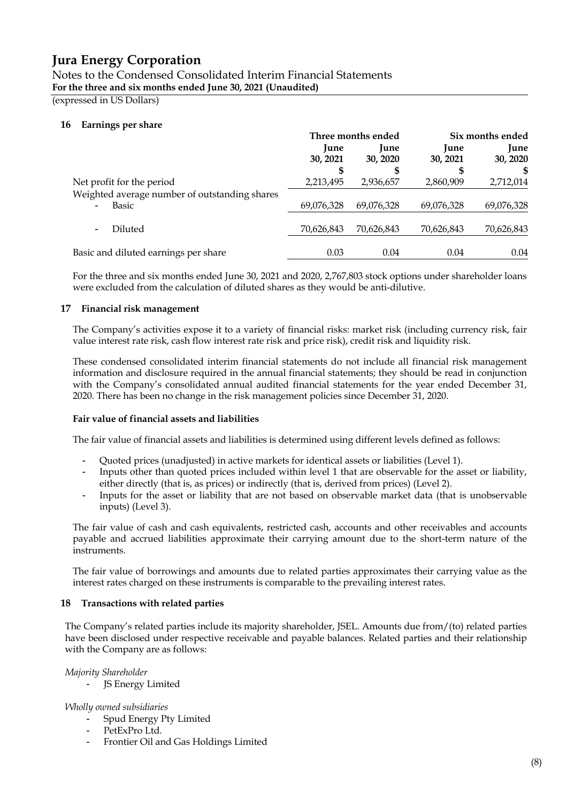Notes to the Condensed Consolidated Interim Financial Statements **For the three and six months ended June 30, 2021 (Unaudited)**

(expressed in US Dollars)

### **16 Earnings per share**

|                                                        | Three months ended      |                              | Six months ended             |                              |
|--------------------------------------------------------|-------------------------|------------------------------|------------------------------|------------------------------|
|                                                        | <b>June</b><br>30, 2021 | <b>June</b><br>30, 2020<br>S | <b>June</b><br>30, 2021<br>⊅ | <b>Iune</b><br>30, 2020<br>S |
| Net profit for the period                              | 2,213,495               | 2,936,657                    | 2,860,909                    | 2,712,014                    |
| Weighted average number of outstanding shares<br>Basic | 69,076,328              | 69,076,328                   | 69,076,328                   | 69,076,328                   |
| Diluted<br>$\blacksquare$                              | 70,626,843              | 70,626,843                   | 70,626,843                   | 70,626,843                   |
| Basic and diluted earnings per share                   | 0.03                    | 0.04                         | 0.04                         | 0.04                         |

For the three and six months ended June 30, 2021 and 2020, 2,767,803 stock options under shareholder loans were excluded from the calculation of diluted shares as they would be anti-dilutive.

### **17 Financial risk management**

The Company's activities expose it to a variety of financial risks: market risk (including currency risk, fair value interest rate risk, cash flow interest rate risk and price risk), credit risk and liquidity risk.

These condensed consolidated interim financial statements do not include all financial risk management information and disclosure required in the annual financial statements; they should be read in conjunction with the Company's consolidated annual audited financial statements for the year ended December 31, 2020. There has been no change in the risk management policies since December 31, 2020.

#### **Fair value of financial assets and liabilities**

The fair value of financial assets and liabilities is determined using different levels defined as follows:

- Quoted prices (unadjusted) in active markets for identical assets or liabilities (Level 1).
- Inputs other than quoted prices included within level 1 that are observable for the asset or liability, either directly (that is, as prices) or indirectly (that is, derived from prices) (Level 2).
- Inputs for the asset or liability that are not based on observable market data (that is unobservable inputs) (Level 3).

The fair value of cash and cash equivalents, restricted cash, accounts and other receivables and accounts payable and accrued liabilities approximate their carrying amount due to the short-term nature of the instruments.

The fair value of borrowings and amounts due to related parties approximates their carrying value as the interest rates charged on these instruments is comparable to the prevailing interest rates.

#### **18 Transactions with related parties**

The Company's related parties include its majority shareholder, JSEL. Amounts due from/(to) related parties have been disclosed under respective receivable and payable balances. Related parties and their relationship with the Company are as follows:

*Majority Shareholder*

JS Energy Limited

#### *Wholly owned subsidiaries*

- Spud Energy Pty Limited
- PetExPro Ltd.
- Frontier Oil and Gas Holdings Limited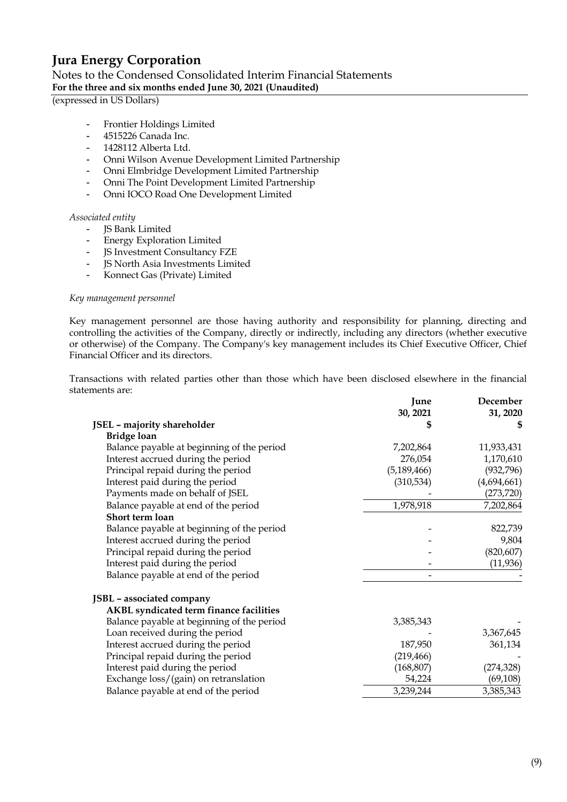### Notes to the Condensed Consolidated Interim Financial Statements **For the three and six months ended June 30, 2021 (Unaudited)**

(expressed in US Dollars)

- Frontier Holdings Limited
- 4515226 Canada Inc.
- 1428112 Alberta Ltd.
- Onni Wilson Avenue Development Limited Partnership
- Onni Elmbridge Development Limited Partnership
- Onni The Point Development Limited Partnership
- Onni IOCO Road One Development Limited

#### *Associated entity*

- JS Bank Limited
- Energy Exploration Limited
- JS Investment Consultancy FZE
- JS North Asia Investments Limited
- Konnect Gas (Private) Limited

#### *Key management personnel*

Key management personnel are those having authority and responsibility for planning, directing and controlling the activities of the Company, directly or indirectly, including any directors (whether executive or otherwise) of the Company. The Company's key management includes its Chief Executive Officer, Chief Financial Officer and its directors.

Transactions with related parties other than those which have been disclosed elsewhere in the financial statements are:

|                                            | June          | December    |
|--------------------------------------------|---------------|-------------|
|                                            | 30, 2021      | 31, 2020    |
| JSEL - majority shareholder                |               |             |
| <b>Bridge loan</b>                         |               |             |
| Balance payable at beginning of the period | 7,202,864     | 11,933,431  |
| Interest accrued during the period         | 276,054       | 1,170,610   |
| Principal repaid during the period         | (5, 189, 466) | (932, 796)  |
| Interest paid during the period            | (310, 534)    | (4,694,661) |
| Payments made on behalf of JSEL            |               | (273, 720)  |
| Balance payable at end of the period       | 1,978,918     | 7,202,864   |
| Short term loan                            |               |             |
| Balance payable at beginning of the period |               | 822,739     |
| Interest accrued during the period         |               | 9,804       |
| Principal repaid during the period         |               | (820, 607)  |
| Interest paid during the period            |               | (11, 936)   |
| Balance payable at end of the period       |               |             |
| JSBL - associated company                  |               |             |
| AKBL syndicated term finance facilities    |               |             |
| Balance payable at beginning of the period | 3,385,343     |             |
| Loan received during the period            |               | 3,367,645   |
| Interest accrued during the period         | 187,950       | 361,134     |
| Principal repaid during the period         | (219, 466)    |             |
| Interest paid during the period            | (168, 807)    | (274, 328)  |
| Exchange loss/(gain) on retranslation      | 54,224        | (69, 108)   |
| Balance payable at end of the period       | 3,239,244     | 3,385,343   |
|                                            |               |             |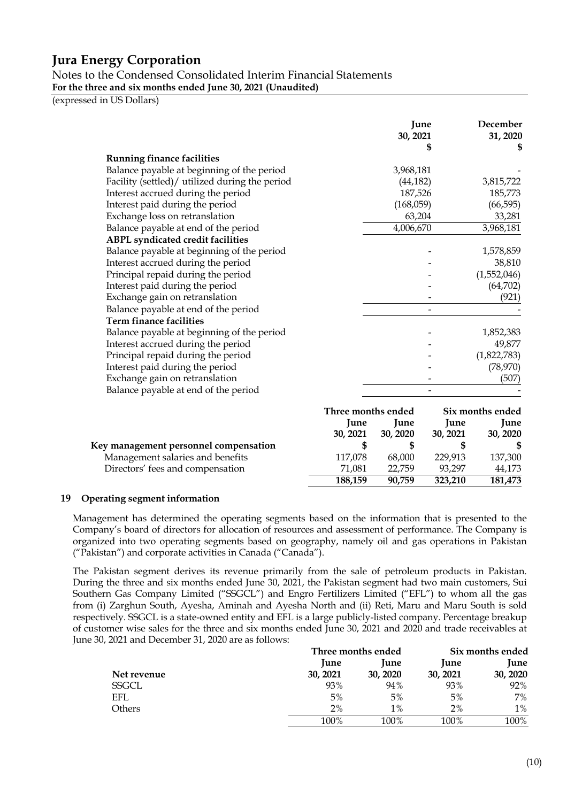Notes to the Condensed Consolidated Interim Financial Statements **For the three and six months ended June 30, 2021 (Unaudited)**

(expressed in US Dollars)

|                                                |                    | June<br>30, 2021 | \$       | December<br>31, 2020<br>S |
|------------------------------------------------|--------------------|------------------|----------|---------------------------|
| <b>Running finance facilities</b>              |                    |                  |          |                           |
| Balance payable at beginning of the period     |                    | 3,968,181        |          |                           |
| Facility (settled)/ utilized during the period |                    | (44, 182)        |          | 3,815,722                 |
| Interest accrued during the period             |                    | 187,526          |          | 185,773                   |
| Interest paid during the period                |                    | (168,059)        |          | (66, 595)                 |
| Exchange loss on retranslation                 |                    | 63,204           |          | 33,281                    |
| Balance payable at end of the period           |                    | 4,006,670        |          | 3,968,181                 |
| <b>ABPL syndicated credit facilities</b>       |                    |                  |          |                           |
| Balance payable at beginning of the period     |                    |                  |          | 1,578,859                 |
| Interest accrued during the period             |                    |                  |          | 38,810                    |
| Principal repaid during the period             |                    |                  |          | (1,552,046)               |
| Interest paid during the period                |                    |                  |          | (64, 702)                 |
| Exchange gain on retranslation                 |                    |                  |          | (921)                     |
| Balance payable at end of the period           |                    |                  |          |                           |
| Term finance facilities                        |                    |                  |          |                           |
| Balance payable at beginning of the period     |                    |                  |          | 1,852,383                 |
| Interest accrued during the period             |                    |                  |          | 49,877                    |
| Principal repaid during the period             |                    |                  |          | (1,822,783)               |
| Interest paid during the period                |                    |                  |          | (78, 970)                 |
| Exchange gain on retranslation                 |                    |                  |          | (507)                     |
| Balance payable at end of the period           |                    |                  |          |                           |
|                                                | Three months ended |                  |          | Six months ended          |
|                                                | June               | June             | June     | June                      |
|                                                | 30, 2021           | 30, 2020         | 30, 2021 | 30, 2020                  |
| Key management personnel compensation          | \$                 | \$               | \$       |                           |
| Management salaries and benefits               | 117,078            | 68,000           | 229,913  | 137,300                   |
| Directors' fees and compensation               | 71,081             | 22,759           | 93,297   | 44,173                    |
|                                                | 188,159            | 90,759           | 323,210  | 181,473                   |

#### **19 Operating segment information**

Management has determined the operating segments based on the information that is presented to the Company's board of directors for allocation of resources and assessment of performance. The Company is organized into two operating segments based on geography, namely oil and gas operations in Pakistan ("Pakistan") and corporate activities in Canada ("Canada").

The Pakistan segment derives its revenue primarily from the sale of petroleum products in Pakistan. During the three and six months ended June 30, 2021, the Pakistan segment had two main customers, Sui Southern Gas Company Limited ("SSGCL") and Engro Fertilizers Limited ("EFL") to whom all the gas from (i) Zarghun South, Ayesha, Aminah and Ayesha North and (ii) Reti, Maru and Maru South is sold respectively. SSGCL is a state-owned entity and EFL is a large publicly-listed company. Percentage breakup of customer wise sales for the three and six months ended June 30, 2021 and 2020 and trade receivables at June 30, 2021 and December 31, 2020 are as follows:

|              | Three months ended |          |             | Six months ended |
|--------------|--------------------|----------|-------------|------------------|
|              | June               | June     | <b>June</b> | June             |
| Net revenue  | 30, 2021           | 30, 2020 | 30, 2021    | 30, 2020         |
| <b>SSGCL</b> | 93%                | 94%      | 93%         | 92%              |
| EFL          | 5%                 | 5%       | 5%          | 7%               |
| Others       | 2%                 | $1\%$    | 2%          | $1\%$            |
|              | 100%               | 100%     | 100%        | 100%             |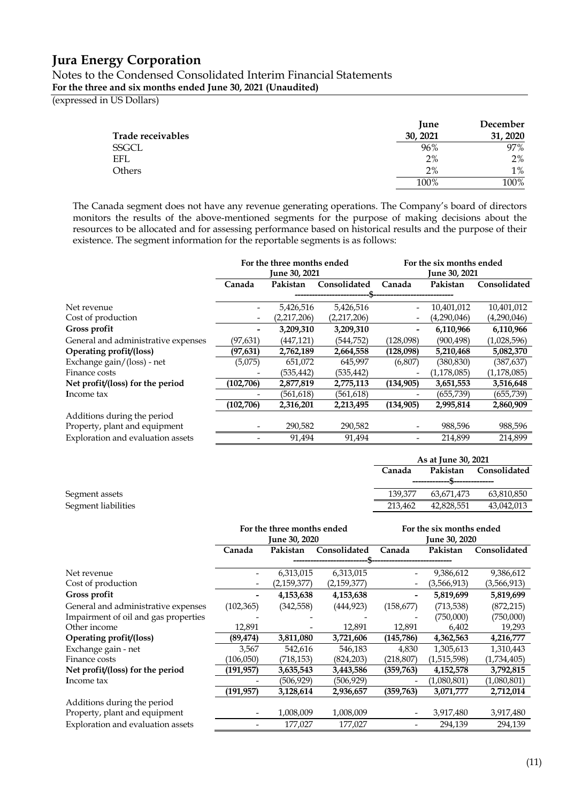### Notes to the Condensed Consolidated Interim Financial Statements **For the three and six months ended June 30, 2021 (Unaudited)**

(expressed in US Dollars)

|                   | <b>Iune</b> | December |
|-------------------|-------------|----------|
| Trade receivables | 30, 2021    | 31, 2020 |
| SSGCL             | 96%         | 97%      |
| EFL               | 2%          | $2\%$    |
| Others            | 2%          | $1\%$    |
|                   | 100%        | 100%     |

The Canada segment does not have any revenue generating operations. The Company's board of directors monitors the results of the above-mentioned segments for the purpose of making decisions about the resources to be allocated and for assessing performance based on historical results and the purpose of their existence. The segment information for the reportable segments is as follows:

|                                     |            | For the three months ended<br><b>June 30, 2021</b> |              |                          | For the six months ended<br><b>June 30, 2021</b> |              |
|-------------------------------------|------------|----------------------------------------------------|--------------|--------------------------|--------------------------------------------------|--------------|
|                                     | Canada     | Pakistan                                           | Consolidated | Canada                   | Pakistan                                         | Consolidated |
|                                     |            |                                                    |              |                          |                                                  |              |
| Net revenue                         |            | 5,426,516                                          | 5,426,516    | $\qquad \qquad -$        | 10,401,012                                       | 10,401,012   |
| Cost of production                  | -          | (2,217,206)                                        | (2,217,206)  | $\overline{\phantom{a}}$ | (4,290,046)                                      | (4,290,046)  |
| Gross profit                        |            | 3,209,310                                          | 3,209,310    | -                        | 6,110,966                                        | 6,110,966    |
| General and administrative expenses | (97,631)   | (447,121)                                          | (544,752)    | (128,098)                | (900, 498)                                       | (1,028,596)  |
| Operating profit/(loss)             | (97, 631)  | 2,762,189                                          | 2,664,558    | (128,098)                | 5,210,468                                        | 5,082,370    |
| Exchange gain/(loss) - net          | (5,075)    | 651,072                                            | 645,997      | (6,807)                  | (380, 830)                                       | (387, 637)   |
| Finance costs                       |            | (535,442)                                          | (535,442)    | $\overline{\phantom{a}}$ | (1, 178, 085)                                    | (1,178,085)  |
| Net profit/(loss) for the period    | (102, 706) | 2,877,819                                          | 2,775,113    | (134, 905)               | 3,651,553                                        | 3,516,648    |
| Income tax                          |            | (561,618)                                          | (561,618)    |                          | (655,739)                                        | (655,739)    |
|                                     | (102, 706) | 2,316,201                                          | 2,213,495    | (134, 905)               | 2,995,814                                        | 2,860,909    |
| Additions during the period         |            |                                                    |              |                          |                                                  |              |
| Property, plant and equipment       |            | 290,582                                            | 290,582      | $\overline{\phantom{a}}$ | 988,596                                          | 988,596      |
| Exploration and evaluation assets   |            | 91,494                                             | 91,494       |                          | 214,899                                          | 214,899      |

|                     | As at June 30, 2021 |            |            |              |
|---------------------|---------------------|------------|------------|--------------|
|                     | Canada<br>Pakistan  |            |            | Consolidated |
|                     |                     |            |            |              |
| Segment assets      | 139,377             | 63.671.473 | 63,810,850 |              |
| Segment liabilities | 213.462             | 42.828.551 | 43,042,013 |              |

|                                      | For the three months ended |                      | For the six months ended |                          |                      |              |  |  |
|--------------------------------------|----------------------------|----------------------|--------------------------|--------------------------|----------------------|--------------|--|--|
|                                      |                            | <b>June 30, 2020</b> |                          |                          | <b>June 30, 2020</b> |              |  |  |
|                                      | Canada                     | Pakistan             | Consolidated             | Canada                   | Pakistan             | Consolidated |  |  |
|                                      |                            |                      |                          |                          |                      |              |  |  |
| Net revenue                          |                            | 6,313,015            | 6,313,015                | $\overline{\phantom{a}}$ | 9,386,612            | 9,386,612    |  |  |
| Cost of production                   | -                          | (2,159,377)          | (2,159,377)              | $\overline{\phantom{a}}$ | (3,566,913)          | (3,566,913)  |  |  |
| Gross profit                         |                            | 4,153,638            | 4,153,638                | $\overline{\phantom{a}}$ | 5,819,699            | 5,819,699    |  |  |
| General and administrative expenses  | (102, 365)                 | (342, 558)           | (444, 923)               | (158, 677)               | (713, 538)           | (872, 215)   |  |  |
| Impairment of oil and gas properties |                            |                      |                          |                          | (750,000)            | (750,000)    |  |  |
| Other income                         | 12,891                     |                      | 12,891                   | 12,891                   | 6,402                | 19,293       |  |  |
| Operating profit/(loss)              | (89, 474)                  | 3,811,080            | 3,721,606                | (145,786)                | 4,362,563            | 4,216,777    |  |  |
| Exchange gain - net                  | 3,567                      | 542,616              | 546,183                  | 4,830                    | 1,305,613            | 1,310,443    |  |  |
| Finance costs                        | (106,050)                  | (718,153)            | (824, 203)               | (218, 807)               | (1,515,598)          | (1,734,405)  |  |  |
| Net profit/(loss) for the period     | (191,957)                  | 3,635,543            | 3,443,586                | (359, 763)               | 4,152,578            | 3,792,815    |  |  |
| Income tax                           |                            | (506,929)            | (506,929)                | $\overline{\phantom{a}}$ | (1,080,801)          | (1,080,801)  |  |  |
|                                      | (191, 957)                 | 3,128,614            | 2,936,657                | (359, 763)               | 3,071,777            | 2,712,014    |  |  |
| Additions during the period          |                            |                      |                          |                          |                      |              |  |  |
| Property, plant and equipment        |                            | 1,008,009            | 1,008,009                |                          | 3,917,480            | 3,917,480    |  |  |
| Exploration and evaluation assets    |                            | 177,027              | 177,027                  |                          | 294,139              | 294,139      |  |  |